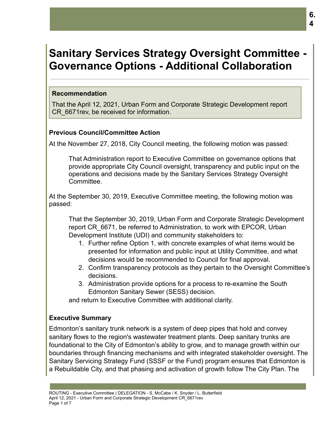# **Sanitary Services Strategy Oversight Committee - Governance Options - Additional Collaboration**

#### **Recommendation**

That the April 12, 2021, Urban Form and Corporate Strategic Development report CR\_6671rev, be received for information.

## **Previous Council/Committee Action**

At the November 27, 2018, City Council meeting, the following motion was passed:

That Administration report to Executive Committee on governance options that provide appropriate City Council oversight, transparency and public input on the operations and decisions made by the Sanitary Services Strategy Oversight Committee.

At the September 30, 2019, Executive Committee meeting, the following motion was passed:

That the September 30, 2019, Urban Form and Corporate Strategic Development report CR\_6671, be referred to Administration, to work with EPCOR, Urban Development Institute (UDI) and community stakeholders to:

- 1. Further refine Option 1, with concrete examples of what items would be presented for information and public input at Utility Committee, and what decisions would be recommended to Council for final approval.
- 2. Confirm transparency protocols as they pertain to the Oversight Committee's decisions.
- 3. Administration provide options for a process to re-examine the South Edmonton Sanitary Sewer (SESS) decision.

and return to Executive Committee with additional clarity.

# **Executive Summary**

Edmonton's sanitary trunk network is a system of deep pipes that hold and convey sanitary flows to the region's wastewater treatment plants. Deep sanitary trunks are foundational to the City of Edmonton's ability to grow, and to manage growth within our boundaries through financing mechanisms and with integrated stakeholder oversight. The Sanitary Servicing Strategy Fund (SSSF or the Fund) program ensures that Edmonton is a Rebuildable City, and that phasing and activation of growth follow The City Plan. The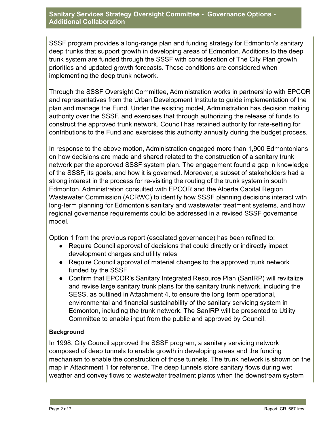## **Sanitary Services Strategy Oversight Committee - Governance Options - Additional Collaboration**

SSSF program provides a long-range plan and funding strategy for Edmonton's sanitary deep trunks that support growth in developing areas of Edmonton. Additions to the deep trunk system are funded through the SSSF with consideration of The City Plan growth priorities and updated growth forecasts. These conditions are considered when implementing the deep trunk network.

Through the SSSF Oversight Committee, Administration works in partnership with EPCOR and representatives from the Urban Development Institute to guide implementation of the plan and manage the Fund. Under the existing model, Administration has decision making authority over the SSSF, and exercises that through authorizing the release of funds to construct the approved trunk network. Council has retained authority for rate-setting for contributions to the Fund and exercises this authority annually during the budget process.

In response to the above motion, Administration engaged more than 1,900 Edmontonians on how decisions are made and shared related to the construction of a sanitary trunk network per the approved SSSF system plan. The engagement found a gap in knowledge of the SSSF, its goals, and how it is governed. Moreover, a subset of stakeholders had a strong interest in the process for re-visiting the routing of the trunk system in south Edmonton. Administration consulted with EPCOR and the Alberta Capital Region Wastewater Commission (ACRWC) to identify how SSSF planning decisions interact with long-term planning for Edmonton's sanitary and wastewater treatment systems, and how regional governance requirements could be addressed in a revised SSSF governance model.

Option 1 from the previous report (escalated governance) has been refined to:

- Require Council approval of decisions that could directly or indirectly impact development charges and utility rates
- Require Council approval of material changes to the approved trunk network funded by the SSSF
- Confirm that EPCOR's Sanitary Integrated Resource Plan (SanIRP) will revitalize and revise large sanitary trunk plans for the sanitary trunk network, including the SESS, as outlined in Attachment 4, to ensure the long term operational, environmental and financial sustainability of the sanitary servicing system in Edmonton, including the trunk network. The SanIRP will be presented to Utility Committee to enable input from the public and approved by Council.

# **Background**

In 1998, City Council approved the SSSF program, a sanitary servicing network composed of deep tunnels to enable growth in developing areas and the funding mechanism to enable the construction of those tunnels. The trunk network is shown on the map in Attachment 1 for reference. The deep tunnels store sanitary flows during wet weather and convey flows to wastewater treatment plants when the downstream system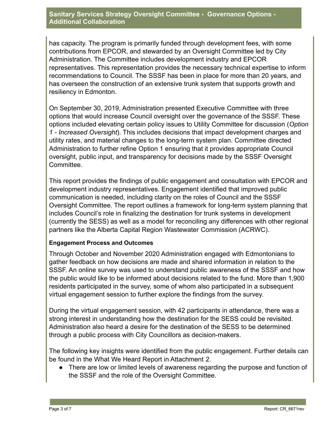#### **Sanitary Services Strategy Oversight Committee - Governance Options - Additional Collaboration**

has capacity. The program is primarily funded through development fees, with some contributions from EPCOR, and stewarded by an Oversight Committee led by City Administration. The Committee includes development industry and EPCOR representatives. This representation provides the necessary technical expertise to inform recommendations to Council. The SSSF has been in place for more than 20 years, and has overseen the construction of an extensive trunk system that supports growth and resiliency in Edmonton.

On September 30, 2019, Administration presented Executive Committee with three options that would increase Council oversight over the governance of the SSSF. These options included elevating certain policy issues to Utility Committee for discussion (*Option 1 - Increased Oversight*). This includes decisions that impact development charges and utility rates, and material changes to the long-term system plan. Committee directed Administration to further refine Option 1 ensuring that it provides appropriate Council oversight, public input, and transparency for decisions made by the SSSF Oversight Committee.

This report provides the findings of public engagement and consultation with EPCOR and development industry representatives. Engagement identified that improved public communication is needed, including clarity on the roles of Council and the SSSF Oversight Committee. The report outlines a framework for long-term system planning that includes Council's role in finalizing the destination for trunk systems in development (currently the SESS) as well as a model for reconciling any differences with other regional partners like the Alberta Capital Region Wastewater Commission (ACRWC).

## **Engagement Process and Outcomes**

Through October and November 2020 Administration engaged with Edmontonians to gather feedback on how decisions are made and shared information in relation to the SSSF. An online survey was used to understand public awareness of the SSSF and how the public would like to be informed about decisions related to the fund. More than 1,900 residents participated in the survey, some of whom also participated in a subsequent virtual engagement session to further explore the findings from the survey.

During the virtual engagement session, with 42 participants in attendance, there was a strong interest in understanding how the destination for the SESS could be revisited. Administration also heard a desire for the destination of the SESS to be determined through a public process with City Councillors as decision-makers.

The following key insights were identified from the public engagement. Further details can be found in the What We Heard Report in Attachment 2.

● There are low or limited levels of awareness regarding the purpose and function of the SSSF and the role of the Oversight Committee.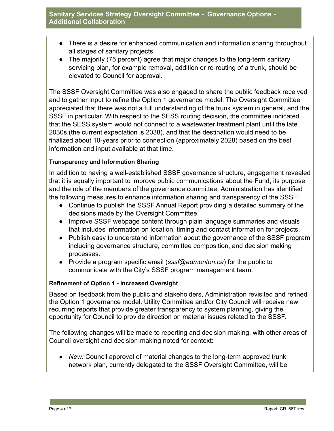- There is a desire for enhanced communication and information sharing throughout all stages of sanitary projects.
- The majority (75 percent) agree that major changes to the long-term sanitary servicing plan, for example removal, addition or re-routing of a trunk, should be elevated to Council for approval.

The SSSF Oversight Committee was also engaged to share the public feedback received and to gather input to refine the Option 1 governance model. The Oversight Committee appreciated that there was not a full understanding of the trunk system in general, and the SSSF in particular. With respect to the SESS routing decision, the committee indicated that the SESS system would not connect to a wastewater treatment plant until the late 2030s (the current expectation is 2038), and that the destination would need to be finalized about 10-years prior to connection (approximately 2028) based on the best information and input available at that time.

## **Transparency and Information Sharing**

In addition to having a well-established SSSF governance structure, engagement revealed that it is equally important to improve public communications about the Fund, its purpose and the role of the members of the governance committee. Administration has identified the following measures to enhance information sharing and transparency of the SSSF:

- Continue to publish the SSSF Annual Report providing a detailed summary of the decisions made by the Oversight Committee.
- Improve SSSF webpage content through plain language summaries and visuals that includes information on location, timing and contact information for projects.
- Publish easy to understand information about the governance of the SSSF program including governance structure, committee composition, and decision making processes.
- Provide a program specific email (*sssf@edmonton.ca*) for the public to communicate with the City's SSSF program management team.

## **Refinement of Option 1 - Increased Oversight**

Based on feedback from the public and stakeholders, Administration revisited and refined the Option 1 governance model. Utility Committee and/or City Council will receive new recurring reports that provide greater transparency to system planning, giving the opportunity for Council to provide direction on material issues related to the SSSF.

The following changes will be made to reporting and decision-making, with other areas of Council oversight and decision-making noted for context:

● *New:* Council approval of material changes to the long-term approved trunk network plan, currently delegated to the SSSF Oversight Committee, will be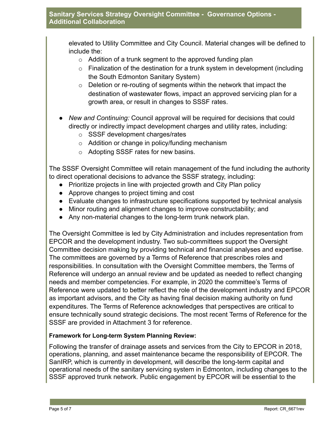elevated to Utility Committee and City Council. Material changes will be defined to include the:

- $\circ$  Addition of a trunk segment to the approved funding plan
- $\circ$  Finalization of the destination for a trunk system in development (including the South Edmonton Sanitary System)
- $\circ$  Deletion or re-routing of segments within the network that impact the destination of wastewater flows, impact an approved servicing plan for a growth area, or result in changes to SSSF rates.
- *New and Continuing:* Council approval will be required for decisions that could directly or indirectly impact development charges and utility rates, including:
	- o SSSF development charges/rates
	- o Addition or change in policy/funding mechanism
	- o Adopting SSSF rates for new basins.

The SSSF Oversight Committee will retain management of the fund including the authority to direct operational decisions to advance the SSSF strategy, including:

- Prioritize projects in line with projected growth and City Plan policy
- Approve changes to project timing and cost
- Evaluate changes to infrastructure specifications supported by technical analysis
- Minor routing and alignment changes to improve constructability; and
- Any non-material changes to the long-term trunk network plan.

The Oversight Committee is led by City Administration and includes representation from EPCOR and the development industry. Two sub-committees support the Oversight Committee decision making by providing technical and financial analyses and expertise. The committees are governed by a Terms of Reference that prescribes roles and responsibilities. In consultation with the Oversight Committee members, the Terms of Reference will undergo an annual review and be updated as needed to reflect changing needs and member competencies. For example, in 2020 the committee's Terms of Reference were updated to better reflect the role of the development industry and EPCOR as important advisors, and the City as having final decision making authority on fund expenditures. The Terms of Reference acknowledges that perspectives are critical to ensure technically sound strategic decisions. The most recent Terms of Reference for the SSSF are provided in Attachment 3 for reference.

# **Framework for Long-term System Planning Review:**

Following the transfer of drainage assets and services from the City to EPCOR in 2018, operations, planning, and asset maintenance became the responsibility of EPCOR. The SanIRP, which is currently in development, will describe the long-term capital and operational needs of the sanitary servicing system in Edmonton, including changes to the SSSF approved trunk network. Public engagement by EPCOR will be essential to the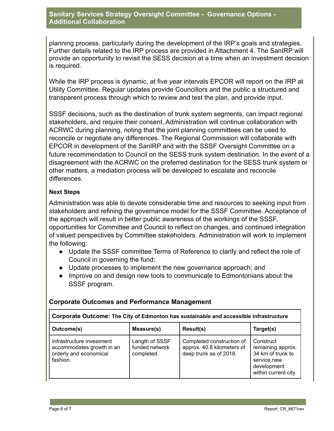planning process, particularly during the development of the IRP's goals and strategies. Further details related to the IRP process are provided in Attachment 4. The SanIRP will provide an opportunity to revisit the SESS decision at a time when an investment decision is required.

While the IRP process is dynamic, at five year intervals EPCOR will report on the IRP at Utility Committee. Regular updates provide Councillors and the public a structured and transparent process through which to review and test the plan, and provide input.

SSSF decisions, such as the destination of trunk system segments, can impact regional stakeholders, and require their consent. Administration will continue collaboration with ACRWC during planning, noting that the joint planning committees can be used to reconcile or negotiate any differences. The Regional Commission will collaborate with EPCOR in development of the SanIRP and with the SSSF Oversight Committee on a future recommendation to Council on the SESS trunk system destination. In the event of a disagreement with the ACRWC on the preferred destination for the SESS trunk system or other matters, a mediation process will be developed to escalate and reconcile differences.

# **Next Steps**

Administration was able to devote considerable time and resources to seeking input from stakeholders and refining the governance model for the SSSF Committee. Acceptance of the approach will result in better public awareness of the workings of the SSSF, opportunities for Committee and Council to reflect on changes, and continued integration of valued perspectives by Committee stakeholders. Administration will work to implement the following:

- Update the SSSF committee Terms of Reference to clarify and reflect the role of Council in governing the fund;
- Update processes to implement the new governance approach; and
- Improve on and design new tools to communicate to Edmontonians about the SSSF program.

| Corporate Outcome: The City of Edmonton has sustainable and accessible infrastructure        |                                                |                                                                                   |                                                                                                          |  |
|----------------------------------------------------------------------------------------------|------------------------------------------------|-----------------------------------------------------------------------------------|----------------------------------------------------------------------------------------------------------|--|
| Outcome(s)                                                                                   | Measure(s)                                     | Result(s)                                                                         | Target(s)                                                                                                |  |
| Infrastructure investment<br>accommodates growth in an<br>orderly and economical<br>fashion. | Length of SSSF<br>funded network<br>completed. | Completed construction of<br>approx. 40.8 kilometers of<br>deep trunk as of 2018. | Construct<br>remaining approx.<br>34 km of trunk to<br>service new<br>development<br>within current city |  |

# **Corporate Outcomes and Performance Management**